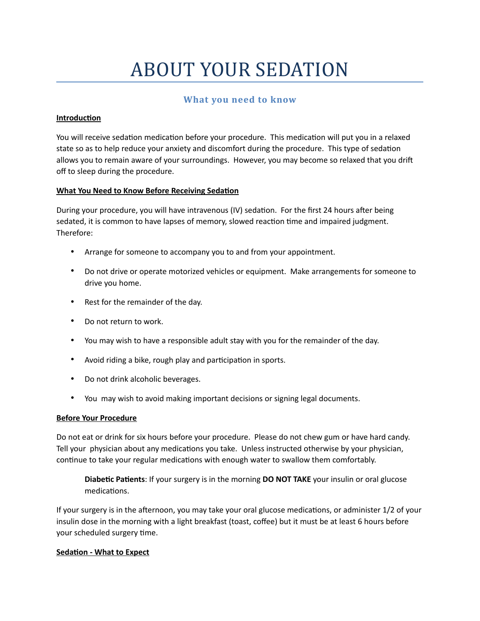# ABOUT YOUR SEDATION

# **What you need to know**

## **Introduction**

You will receive sedation medication before your procedure. This medication will put you in a relaxed state so as to help reduce your anxiety and discomfort during the procedure. This type of sedation allows you to remain aware of your surroundings. However, you may become so relaxed that you drift off to sleep during the procedure.

### **What You Need to Know Before Receiving Sedation**

During your procedure, you will have intravenous (IV) sedation. For the first 24 hours after being sedated, it is common to have lapses of memory, slowed reaction time and impaired judgment. Therefore:

- Arrange for someone to accompany you to and from your appointment.
- Do not drive or operate motorized vehicles or equipment. Make arrangements for someone to drive you home.
- Rest for the remainder of the day.
- Do not return to work.
- You may wish to have a responsible adult stay with you for the remainder of the day.
- Avoid riding a bike, rough play and participation in sports.
- Do not drink alcoholic beverages.
- You may wish to avoid making important decisions or signing legal documents.

### **Before Your Procedure**

Do not eat or drink for six hours before your procedure. Please do not chew gum or have hard candy. Tell your physician about any medications you take. Unless instructed otherwise by your physician, continue to take your regular medications with enough water to swallow them comfortably.

**Diabetic Patients**: If your surgery is in the morning **DO NOT TAKE** your insulin or oral glucose medications.

If your surgery is in the afternoon, you may take your oral glucose medications, or administer 1/2 of your insulin dose in the morning with a light breakfast (toast, coffee) but it must be at least 6 hours before your scheduled surgery time.

### **Sedation - What to Expect**